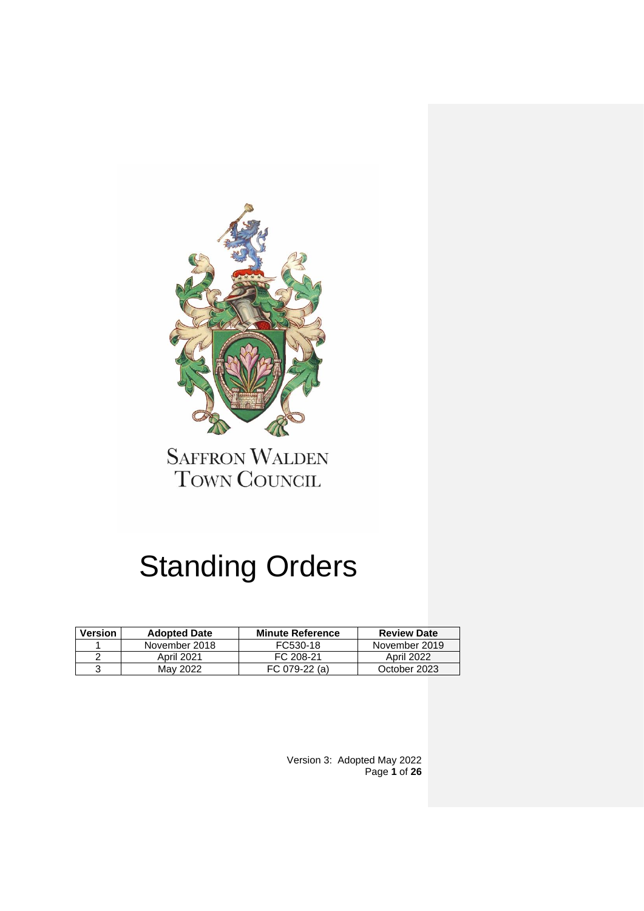

**SAFFRON WALDEN** TOWN COUNCIL

# Standing Orders

| <b>Version</b> | <b>Adopted Date</b> | <b>Minute Reference</b> | <b>Review Date</b> |
|----------------|---------------------|-------------------------|--------------------|
|                | November 2018       | FC530-18                | November 2019      |
| ⌒              | April 2021          | FC 208-21               | April 2022         |
|                | May 2022            | FC 079-22 (a)           | October 2023       |

Version 3: Adopted May 2022 Page **1** of **26**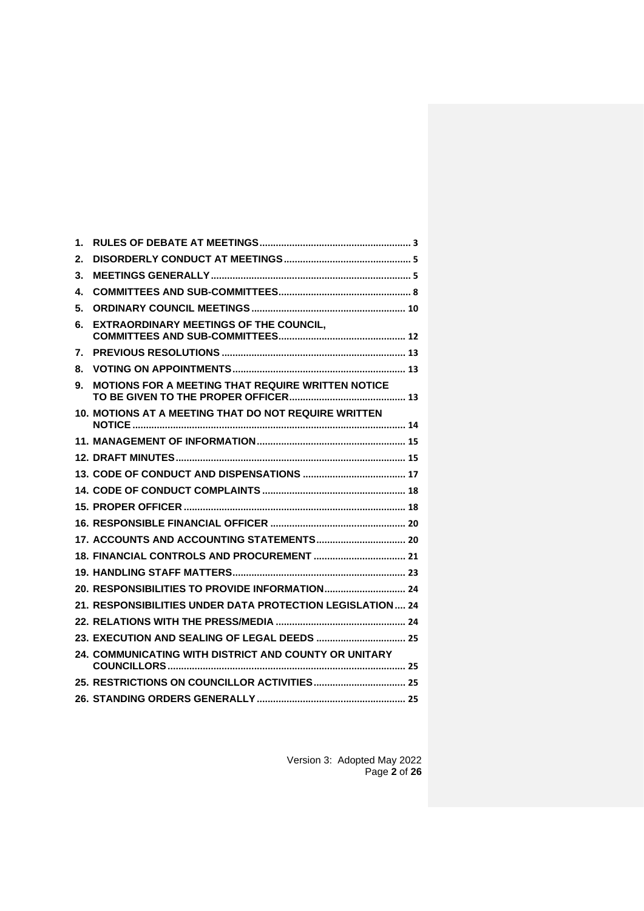| 1. |                                                           |  |
|----|-----------------------------------------------------------|--|
| 2. |                                                           |  |
| 3. |                                                           |  |
| 4. |                                                           |  |
| 5. |                                                           |  |
| 6. | <b>EXTRAORDINARY MEETINGS OF THE COUNCIL,</b>             |  |
| 7. |                                                           |  |
| 8. |                                                           |  |
| 9. | MOTIONS FOR A MEETING THAT REQUIRE WRITTEN NOTICE         |  |
|    | 10. MOTIONS AT A MEETING THAT DO NOT REQUIRE WRITTEN      |  |
|    |                                                           |  |
|    |                                                           |  |
|    |                                                           |  |
|    |                                                           |  |
|    |                                                           |  |
|    |                                                           |  |
|    |                                                           |  |
|    |                                                           |  |
|    |                                                           |  |
|    | 20. RESPONSIBILITIES TO PROVIDE INFORMATION 24            |  |
|    | 21. RESPONSIBILITIES UNDER DATA PROTECTION LEGISLATION 24 |  |
|    |                                                           |  |
|    |                                                           |  |
|    | 24. COMMUNICATING WITH DISTRICT AND COUNTY OR UNITARY     |  |
|    |                                                           |  |
|    |                                                           |  |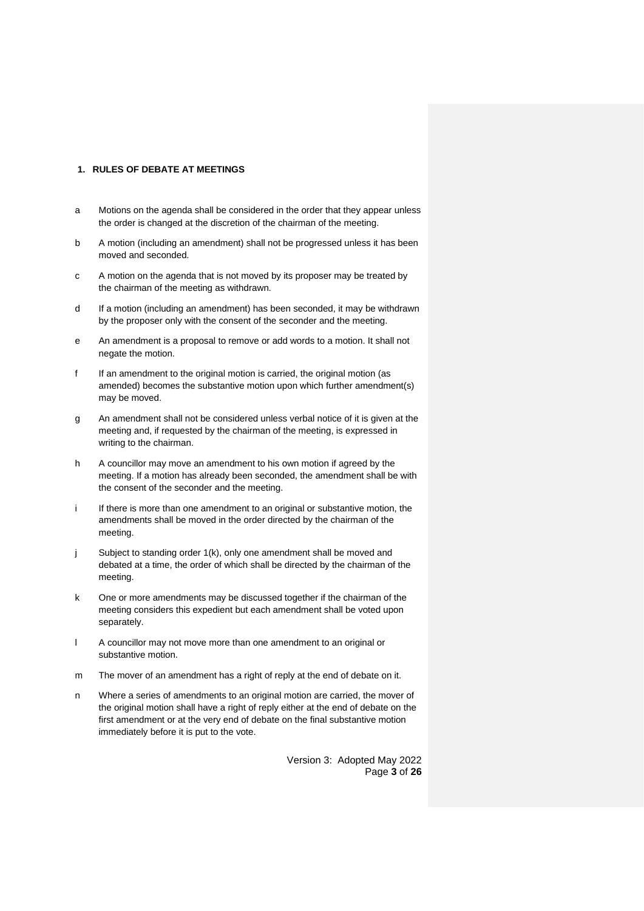## <span id="page-2-0"></span>**1. RULES OF DEBATE AT MEETINGS**

- a Motions on the agenda shall be considered in the order that they appear unless the order is changed at the discretion of the chairman of the meeting.
- b A motion (including an amendment) shall not be progressed unless it has been moved and seconded.
- c A motion on the agenda that is not moved by its proposer may be treated by the chairman of the meeting as withdrawn.
- d If a motion (including an amendment) has been seconded, it may be withdrawn by the proposer only with the consent of the seconder and the meeting.
- e An amendment is a proposal to remove or add words to a motion. It shall not negate the motion.
- f If an amendment to the original motion is carried, the original motion (as amended) becomes the substantive motion upon which further amendment(s) may be moved.
- g An amendment shall not be considered unless verbal notice of it is given at the meeting and, if requested by the chairman of the meeting, is expressed in writing to the chairman.
- h A councillor may move an amendment to his own motion if agreed by the meeting. If a motion has already been seconded, the amendment shall be with the consent of the seconder and the meeting.
- i If there is more than one amendment to an original or substantive motion, the amendments shall be moved in the order directed by the chairman of the meeting.
- j Subject to standing order 1(k), only one amendment shall be moved and debated at a time, the order of which shall be directed by the chairman of the meeting.
- k One or more amendments may be discussed together if the chairman of the meeting considers this expedient but each amendment shall be voted upon separately.
- l A councillor may not move more than one amendment to an original or substantive motion.
- m The mover of an amendment has a right of reply at the end of debate on it.
- n Where a series of amendments to an original motion are carried, the mover of the original motion shall have a right of reply either at the end of debate on the first amendment or at the very end of debate on the final substantive motion immediately before it is put to the vote.

Version 3: Adopted May 2022 Page **3** of **26**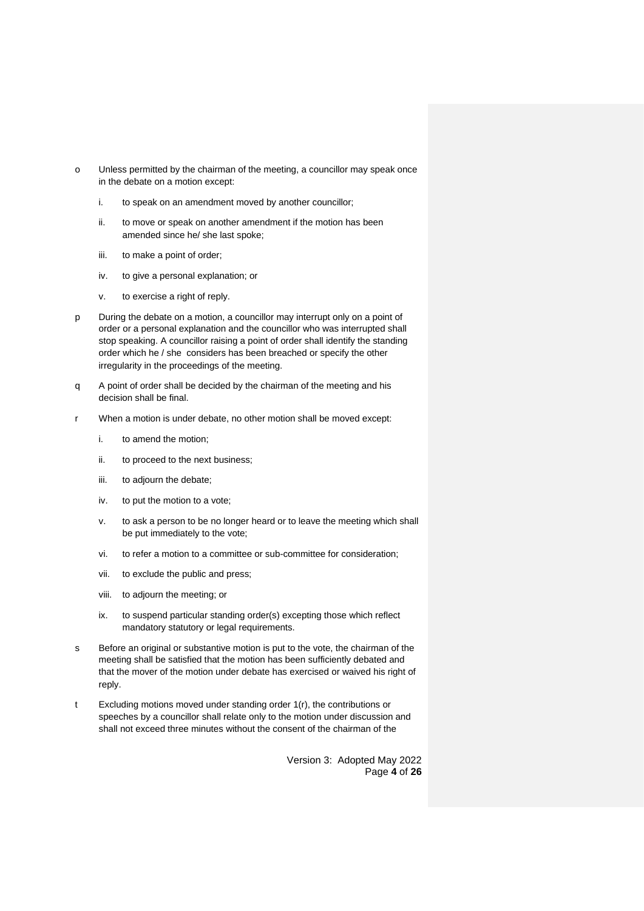- o Unless permitted by the chairman of the meeting, a councillor may speak once in the debate on a motion except:
	- i. to speak on an amendment moved by another councillor;
	- ii. to move or speak on another amendment if the motion has been amended since he/ she last spoke;
	- iii. to make a point of order;
	- iv. to give a personal explanation; or
	- v. to exercise a right of reply.
- p During the debate on a motion, a councillor may interrupt only on a point of order or a personal explanation and the councillor who was interrupted shall stop speaking. A councillor raising a point of order shall identify the standing order which he / she considers has been breached or specify the other irregularity in the proceedings of the meeting.
- q A point of order shall be decided by the chairman of the meeting and his decision shall be final.
- When a motion is under debate, no other motion shall be moved except:
	- i. to amend the motion;
	- ii. to proceed to the next business;
	- iii. to adjourn the debate;
	- iv. to put the motion to a vote;
	- v. to ask a person to be no longer heard or to leave the meeting which shall be put immediately to the vote;
	- vi. to refer a motion to a committee or sub-committee for consideration;
	- vii. to exclude the public and press;
	- viii. to adjourn the meeting; or
	- ix. to suspend particular standing order(s) excepting those which reflect mandatory statutory or legal requirements.
- s Before an original or substantive motion is put to the vote, the chairman of the meeting shall be satisfied that the motion has been sufficiently debated and that the mover of the motion under debate has exercised or waived his right of reply.
- t Excluding motions moved under standing order 1(r), the contributions or speeches by a councillor shall relate only to the motion under discussion and shall not exceed three minutes without the consent of the chairman of the

Version 3: Adopted May 2022 Page **4** of **26**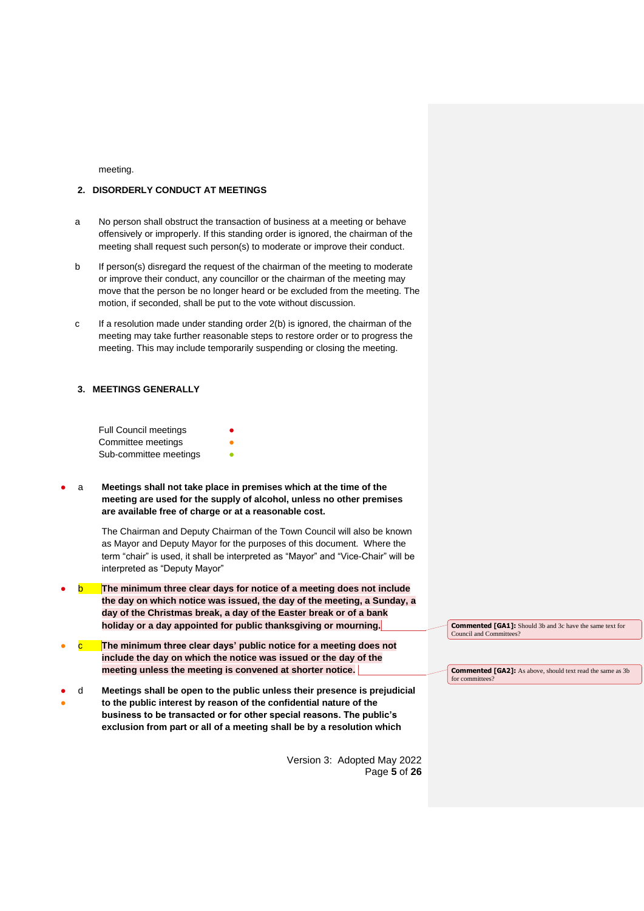meeting.

# <span id="page-4-0"></span>**2. DISORDERLY CONDUCT AT MEETINGS**

- a No person shall obstruct the transaction of business at a meeting or behave offensively or improperly. If this standing order is ignored, the chairman of the meeting shall request such person(s) to moderate or improve their conduct.
- b If person(s) disregard the request of the chairman of the meeting to moderate or improve their conduct, any councillor or the chairman of the meeting may move that the person be no longer heard or be excluded from the meeting. The motion, if seconded, shall be put to the vote without discussion.
- c If a resolution made under standing order 2(b) is ignored, the chairman of the meeting may take further reasonable steps to restore order or to progress the meeting. This may include temporarily suspending or closing the meeting.

# <span id="page-4-1"></span>**3. MEETINGS GENERALLY**

| <b>Full Council meetings</b> | ≏ |
|------------------------------|---|
| Committee meetings           |   |
| Sub-committee meetings       |   |

a **Meetings shall not take place in premises which at the time of the meeting are used for the supply of alcohol, unless no other premises are available free of charge or at a reasonable cost.** 

> The Chairman and Deputy Chairman of the Town Council will also be known as Mayor and Deputy Mayor for the purposes of this document. Where the term "chair" is used, it shall be interpreted as "Mayor" and "Vice-Chair" will be interpreted as "Deputy Mayor"

- **The minimum three clear days for notice of a meeting does not include the day on which notice was issued, the day of the meeting, a Sunday, a day of the Christmas break, a day of the Easter break or of a bank holiday or a day appointed for public thanksgiving or mourning.**
- The minimum three clear days' public notice for a meeting does not **include the day on which the notice was issued or the day of the meeting unless the meeting is convened at shorter notice.**
- ● d **Meetings shall be open to the public unless their presence is prejudicial to the public interest by reason of the confidential nature of the business to be transacted or for other special reasons. The public's exclusion from part or all of a meeting shall be by a resolution which**

Version 3: Adopted May 2022 Page **5** of **26** **Commented [GA1]:** Should 3b and 3c have the same text for Council and Committee

**Commented [GA2]:** As above, should text read the same as 3b for committee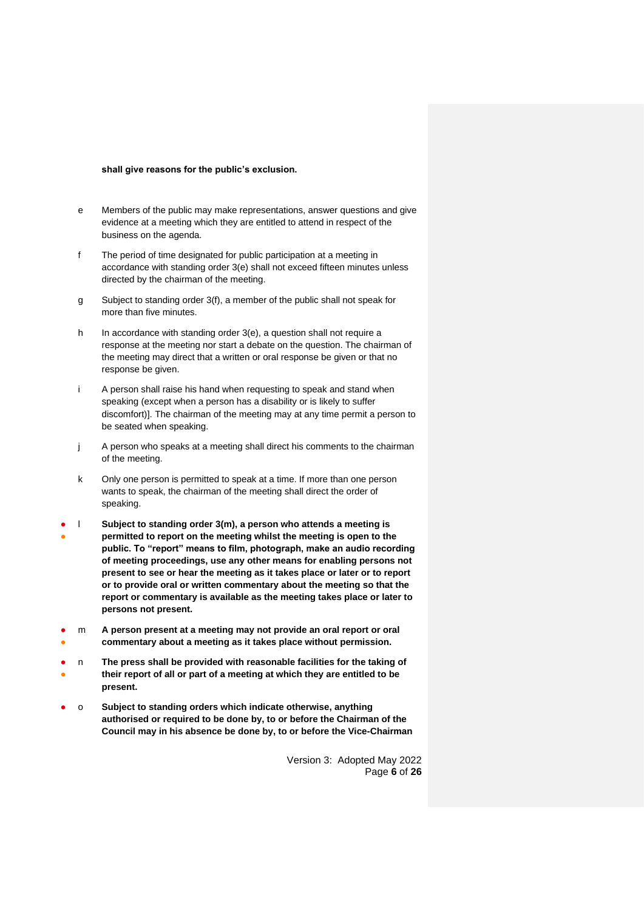#### **shall give reasons for the public's exclusion.**

- e Members of the public may make representations, answer questions and give evidence at a meeting which they are entitled to attend in respect of the business on the agenda.
- f The period of time designated for public participation at a meeting in accordance with standing order 3(e) shall not exceed fifteen minutes unless directed by the chairman of the meeting.
- g Subject to standing order 3(f), a member of the public shall not speak for more than five minutes.
- h In accordance with standing order 3(e), a question shall not require a response at the meeting nor start a debate on the question. The chairman of the meeting may direct that a written or oral response be given or that no response be given.
- i A person shall raise his hand when requesting to speak and stand when speaking (except when a person has a disability or is likely to suffer discomfort)]. The chairman of the meeting may at any time permit a person to be seated when speaking.
- j A person who speaks at a meeting shall direct his comments to the chairman of the meeting.
- k Only one person is permitted to speak at a time. If more than one person wants to speak, the chairman of the meeting shall direct the order of speaking.
- ● l **Subject to standing order 3(m), a person who attends a meeting is permitted to report on the meeting whilst the meeting is open to the public. To "report" means to film, photograph, make an audio recording of meeting proceedings, use any other means for enabling persons not present to see or hear the meeting as it takes place or later or to report or to provide oral or written commentary about the meeting so that the report or commentary is available as the meeting takes place or later to persons not present.**
- ● m **A person present at a meeting may not provide an oral report or oral commentary about a meeting as it takes place without permission.**
- ● n **The press shall be provided with reasonable facilities for the taking of their report of all or part of a meeting at which they are entitled to be present.**
- o **Subject to standing orders which indicate otherwise, anything authorised or required to be done by, to or before the Chairman of the Council may in his absence be done by, to or before the Vice-Chairman**

Version 3: Adopted May 2022 Page **6** of **26**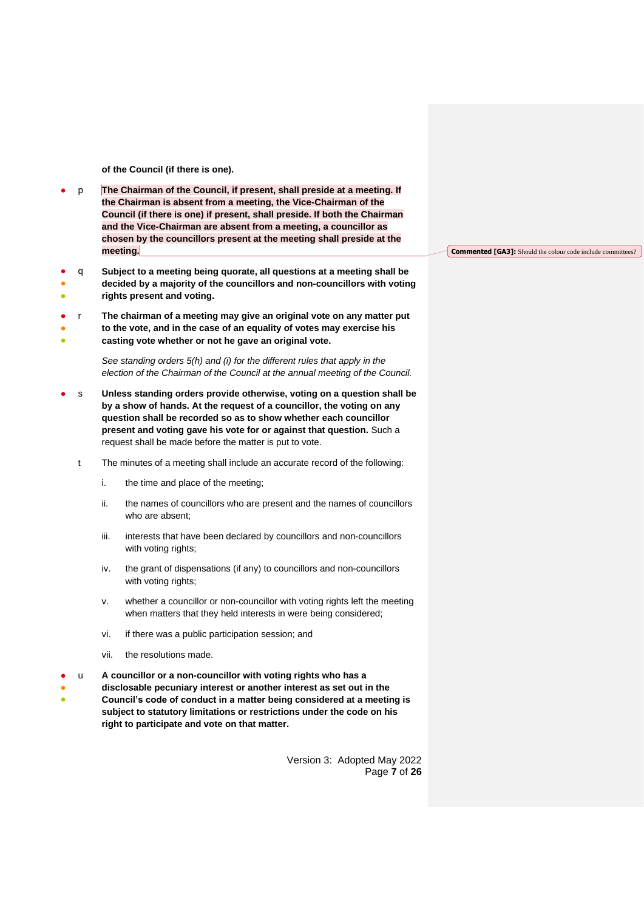**of the Council (if there is one).**

- p **The Chairman of the Council, if present, shall preside at a meeting. If the Chairman is absent from a meeting, the Vice-Chairman of the Council (if there is one) if present, shall preside. If both the Chairman and the Vice-Chairman are absent from a meeting, a councillor as chosen by the councillors present at the meeting shall preside at the meeting.**
- ● ● q **Subject to a meeting being quorate, all questions at a meeting shall be decided by a majority of the councillors and non-councillors with voting rights present and voting.**
- ● r **The chairman of a meeting may give an original vote on any matter put to the vote, and in the case of an equality of votes may exercise his**
- **casting vote whether or not he gave an original vote.**

*See standing orders 5(h) and (i) for the different rules that apply in the election of the Chairman of the Council at the annual meeting of the Council.*

- s Unless standing orders provide otherwise, voting on a question shall be **by a show of hands. At the request of a councillor, the voting on any question shall be recorded so as to show whether each councillor present and voting gave his vote for or against that question.** Such a request shall be made before the matter is put to vote.
	- t The minutes of a meeting shall include an accurate record of the following:
		- i. the time and place of the meeting;
		- ii. the names of councillors who are present and the names of councillors who are absent;
		- iii. interests that have been declared by councillors and non-councillors with voting rights;
		- iv. the grant of dispensations (if any) to councillors and non-councillors with voting rights;
		- v. whether a councillor or non-councillor with voting rights left the meeting when matters that they held interests in were being considered;
		- vi. if there was a public participation session; and
		- vii. the resolutions made.
- u **A councillor or a non-councillor with voting rights who has a**
- ● **disclosable pecuniary interest or another interest as set out in the Council's code of conduct in a matter being considered at a meeting is subject to statutory limitations or restrictions under the code on his right to participate and vote on that matter.**

Version 3: Adopted May 2022 Page **7** of **26** **Commented [GA3]:** Should the colour code include committees?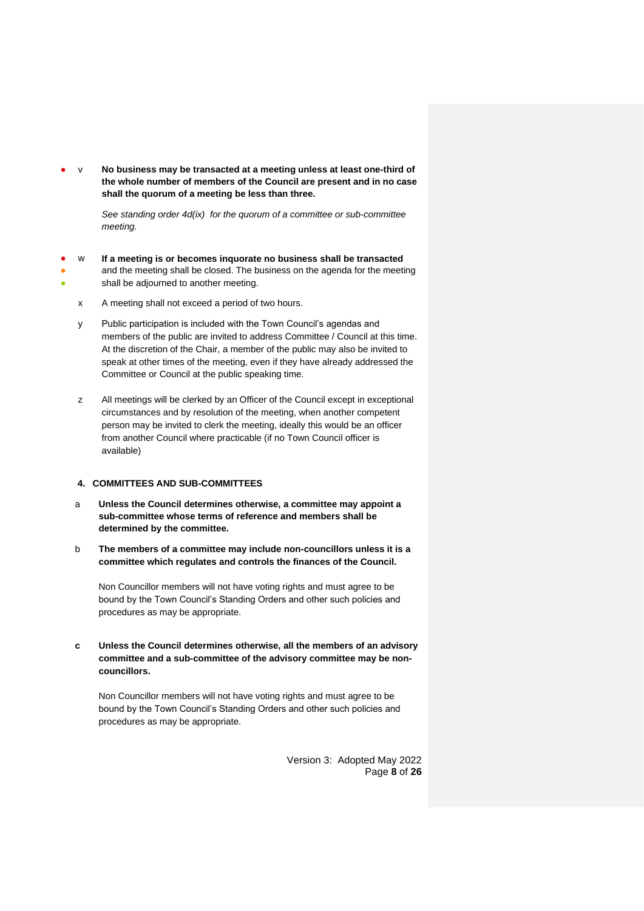v **No business may be transacted at a meeting unless at least one-third of the whole number of members of the Council are present and in no case shall the quorum of a meeting be less than three.**

> *See standing order 4d(ix) for the quorum of a committee or sub-committee meeting.*

- ● ● w **If a meeting is or becomes inquorate no business shall be transacted** and the meeting shall be closed. The business on the agenda for the meeting shall be adjourned to another meeting.
	- x A meeting shall not exceed a period of two hours.
	- y Public participation is included with the Town Council's agendas and members of the public are invited to address Committee / Council at this time. At the discretion of the Chair, a member of the public may also be invited to speak at other times of the meeting, even if they have already addressed the Committee or Council at the public speaking time.
	- z All meetings will be clerked by an Officer of the Council except in exceptional circumstances and by resolution of the meeting, when another competent person may be invited to clerk the meeting, ideally this would be an officer from another Council where practicable (if no Town Council officer is available)

#### <span id="page-7-0"></span>**4. COMMITTEES AND SUB-COMMITTEES**

- a **Unless the Council determines otherwise, a committee may appoint a sub-committee whose terms of reference and members shall be determined by the committee.**
- b **The members of a committee may include non-councillors unless it is a committee which regulates and controls the finances of the Council.**

Non Councillor members will not have voting rights and must agree to be bound by the Town Council's Standing Orders and other such policies and procedures as may be appropriate.

**c Unless the Council determines otherwise, all the members of an advisory committee and a sub-committee of the advisory committee may be noncouncillors.**

Non Councillor members will not have voting rights and must agree to be bound by the Town Council's Standing Orders and other such policies and procedures as may be appropriate.

> Version 3: Adopted May 2022 Page **8** of **26**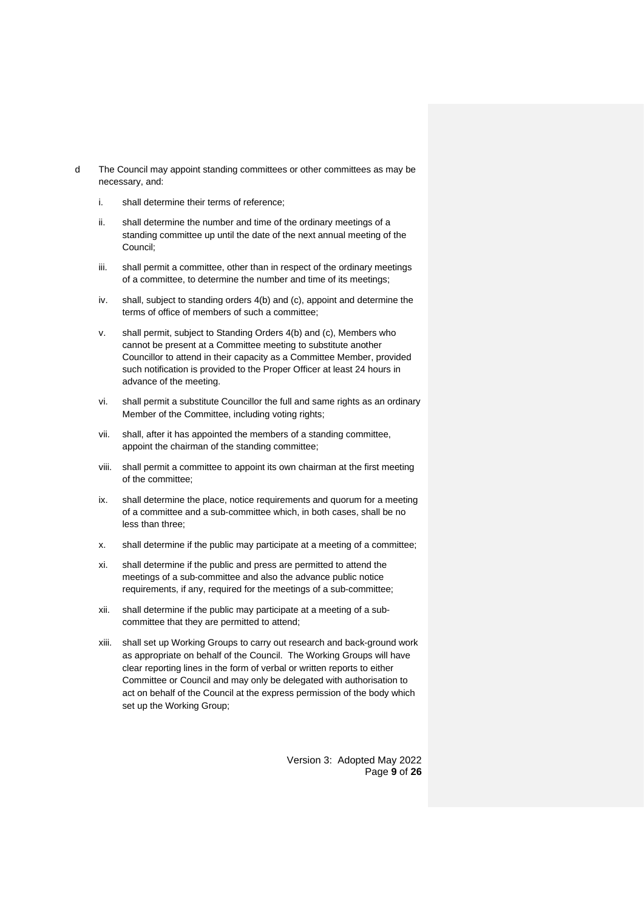- d The Council may appoint standing committees or other committees as may be necessary, and:
	- i. shall determine their terms of reference;
	- ii. shall determine the number and time of the ordinary meetings of a standing committee up until the date of the next annual meeting of the Council;
	- iii. shall permit a committee, other than in respect of the ordinary meetings of a committee, to determine the number and time of its meetings;
	- iv. shall, subject to standing orders 4(b) and (c), appoint and determine the terms of office of members of such a committee;
	- v. shall permit, subject to Standing Orders 4(b) and (c), Members who cannot be present at a Committee meeting to substitute another Councillor to attend in their capacity as a Committee Member, provided such notification is provided to the Proper Officer at least 24 hours in advance of the meeting.
	- vi. shall permit a substitute Councillor the full and same rights as an ordinary Member of the Committee, including voting rights;
	- vii. shall, after it has appointed the members of a standing committee, appoint the chairman of the standing committee;
	- viii. shall permit a committee to appoint its own chairman at the first meeting of the committee;
	- ix. shall determine the place, notice requirements and quorum for a meeting of a committee and a sub-committee which, in both cases, shall be no less than three;
	- x. shall determine if the public may participate at a meeting of a committee;
	- xi. shall determine if the public and press are permitted to attend the meetings of a sub-committee and also the advance public notice requirements, if any, required for the meetings of a sub-committee;
	- xii. shall determine if the public may participate at a meeting of a subcommittee that they are permitted to attend;
	- xiii. shall set up Working Groups to carry out research and back-ground work as appropriate on behalf of the Council. The Working Groups will have clear reporting lines in the form of verbal or written reports to either Committee or Council and may only be delegated with authorisation to act on behalf of the Council at the express permission of the body which set up the Working Group;

Version 3: Adopted May 2022 Page **9** of **26**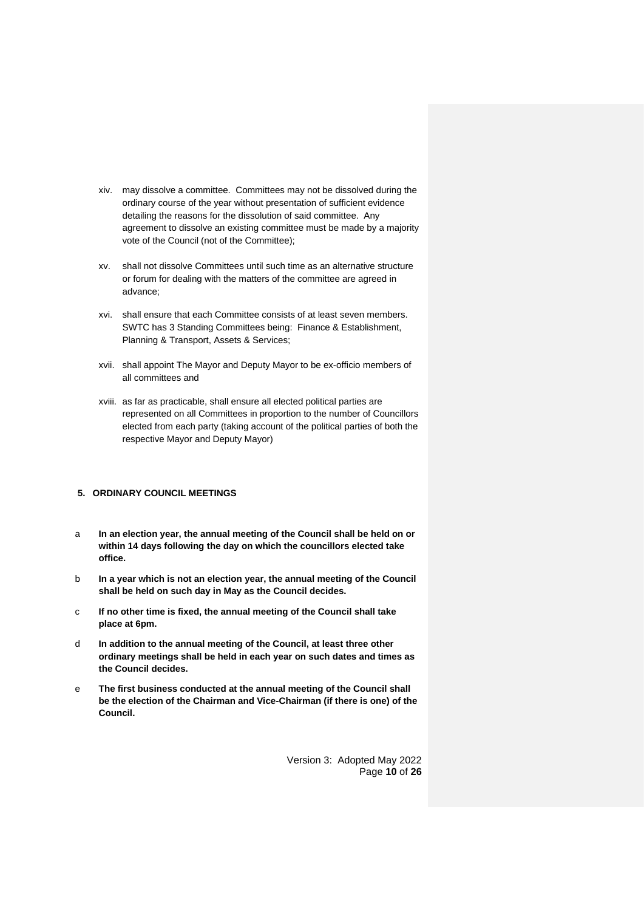- xiv. may dissolve a committee. Committees may not be dissolved during the ordinary course of the year without presentation of sufficient evidence detailing the reasons for the dissolution of said committee. Any agreement to dissolve an existing committee must be made by a majority vote of the Council (not of the Committee);
- xv. shall not dissolve Committees until such time as an alternative structure or forum for dealing with the matters of the committee are agreed in advance;
- xvi. shall ensure that each Committee consists of at least seven members. SWTC has 3 Standing Committees being: Finance & Establishment, Planning & Transport, Assets & Services;
- xvii. shall appoint The Mayor and Deputy Mayor to be ex-officio members of all committees and
- xviii. as far as practicable, shall ensure all elected political parties are represented on all Committees in proportion to the number of Councillors elected from each party (taking account of the political parties of both the respective Mayor and Deputy Mayor)

# <span id="page-9-0"></span>**5. ORDINARY COUNCIL MEETINGS**

- a **In an election year, the annual meeting of the Council shall be held on or within 14 days following the day on which the councillors elected take office.**
- b **In a year which is not an election year, the annual meeting of the Council shall be held on such day in May as the Council decides.**
- c **If no other time is fixed, the annual meeting of the Council shall take place at 6pm.**
- d **In addition to the annual meeting of the Council, at least three other ordinary meetings shall be held in each year on such dates and times as the Council decides.**
- e **The first business conducted at the annual meeting of the Council shall be the election of the Chairman and Vice-Chairman (if there is one) of the Council.**

Version 3: Adopted May 2022 Page **10** of **26**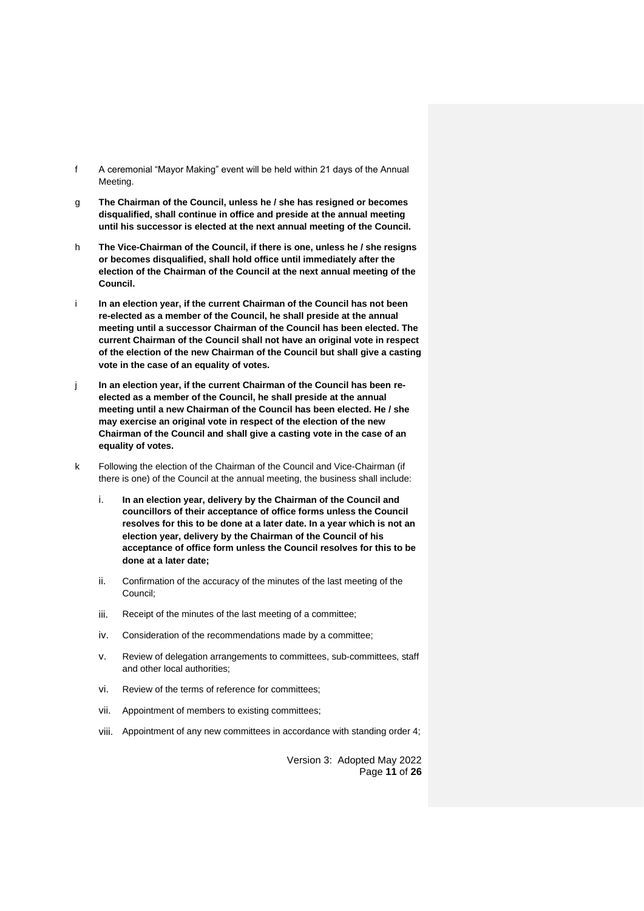- f A ceremonial "Mayor Making" event will be held within 21 days of the Annual Meeting.
- g **The Chairman of the Council, unless he / she has resigned or becomes disqualified, shall continue in office and preside at the annual meeting until his successor is elected at the next annual meeting of the Council.**
- h **The Vice-Chairman of the Council, if there is one, unless he / she resigns or becomes disqualified, shall hold office until immediately after the election of the Chairman of the Council at the next annual meeting of the Council.**
- i **In an election year, if the current Chairman of the Council has not been re-elected as a member of the Council, he shall preside at the annual meeting until a successor Chairman of the Council has been elected. The current Chairman of the Council shall not have an original vote in respect of the election of the new Chairman of the Council but shall give a casting vote in the case of an equality of votes.**
- j **In an election year, if the current Chairman of the Council has been reelected as a member of the Council, he shall preside at the annual meeting until a new Chairman of the Council has been elected. He / she may exercise an original vote in respect of the election of the new Chairman of the Council and shall give a casting vote in the case of an equality of votes.**
- k Following the election of the Chairman of the Council and Vice-Chairman (if there is one) of the Council at the annual meeting, the business shall include:
	- i. **In an election year, delivery by the Chairman of the Council and councillors of their acceptance of office forms unless the Council resolves for this to be done at a later date. In a year which is not an election year, delivery by the Chairman of the Council of his acceptance of office form unless the Council resolves for this to be done at a later date;**
	- ii. Confirmation of the accuracy of the minutes of the last meeting of the Council;
	- iii. Receipt of the minutes of the last meeting of a committee;
	- iv. Consideration of the recommendations made by a committee;
	- v. Review of delegation arrangements to committees, sub-committees, staff and other local authorities;
	- vi. Review of the terms of reference for committees;
	- vii. Appointment of members to existing committees;
	- viii. Appointment of any new committees in accordance with standing order 4;

Version 3: Adopted May 2022 Page **11** of **26**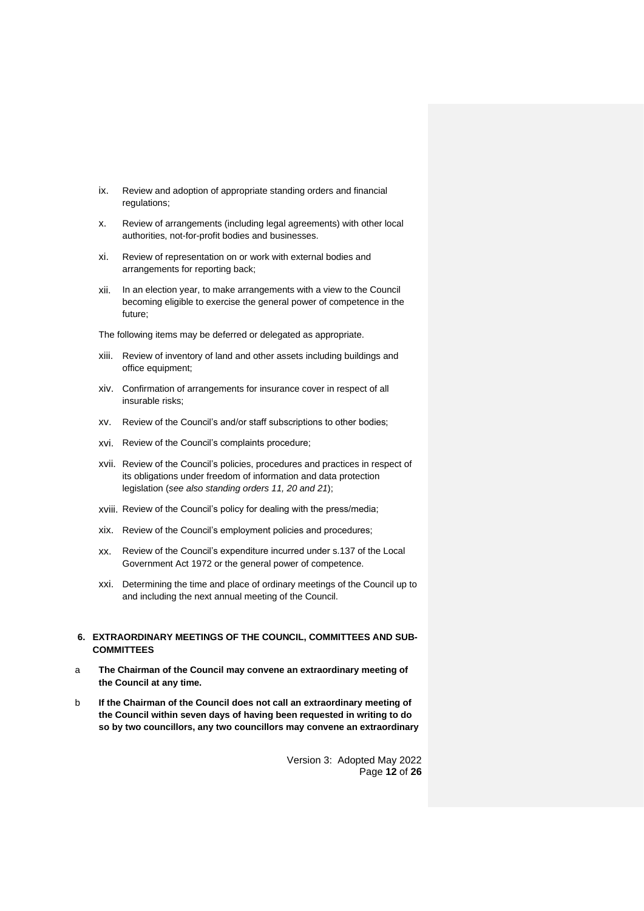- ix. Review and adoption of appropriate standing orders and financial regulations;
- x. Review of arrangements (including legal agreements) with other local authorities, not-for-profit bodies and businesses.
- xi. Review of representation on or work with external bodies and arrangements for reporting back;
- xii. In an election year, to make arrangements with a view to the Council becoming eligible to exercise the general power of competence in the future;
- The following items may be deferred or delegated as appropriate.
- xiii. Review of inventory of land and other assets including buildings and office equipment;
- xiv. Confirmation of arrangements for insurance cover in respect of all insurable risks;
- xv. Review of the Council's and/or staff subscriptions to other bodies;
- xvi. Review of the Council's complaints procedure;
- xvii. Review of the Council's policies, procedures and practices in respect of its obligations under freedom of information and data protection legislation (*see also standing orders 11, 20 and 21*);
- xviii. Review of the Council's policy for dealing with the press/media;
- xix. Review of the Council's employment policies and procedures;
- xx. Review of the Council's expenditure incurred under s.137 of the Local Government Act 1972 or the general power of competence.
- xxi. Determining the time and place of ordinary meetings of the Council up to and including the next annual meeting of the Council.

#### <span id="page-11-0"></span>**6. EXTRAORDINARY MEETINGS OF THE COUNCIL, COMMITTEES AND SUB-COMMITTEES**

- a **The Chairman of the Council may convene an extraordinary meeting of the Council at any time.**
- b **If the Chairman of the Council does not call an extraordinary meeting of the Council within seven days of having been requested in writing to do so by two councillors, any two councillors may convene an extraordinary**

Version 3: Adopted May 2022 Page **12** of **26**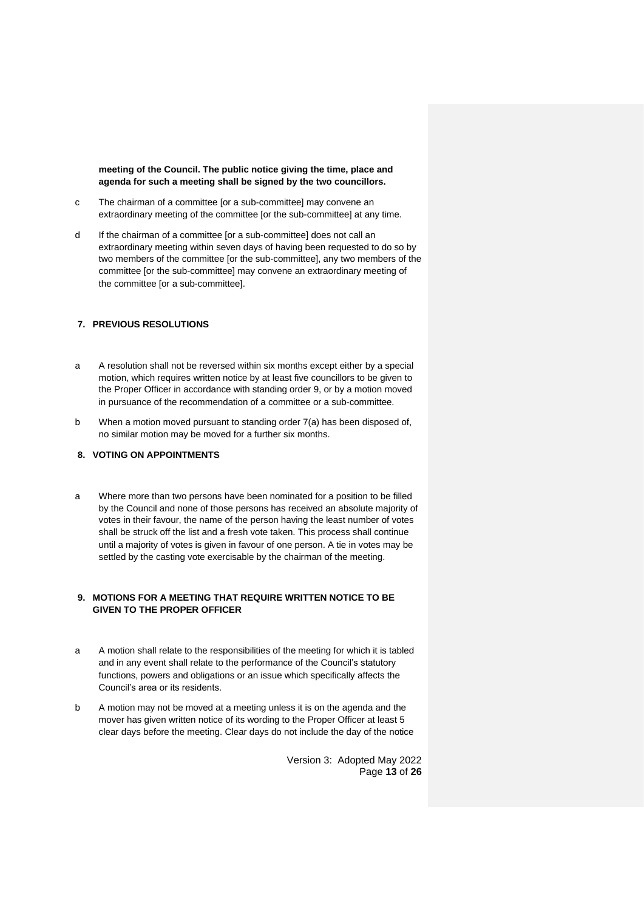**meeting of the Council. The public notice giving the time, place and agenda for such a meeting shall be signed by the two councillors.**

- c The chairman of a committee [or a sub-committee] may convene an extraordinary meeting of the committee [or the sub-committee] at any time.
- d If the chairman of a committee [or a sub-committee] does not call an extraordinary meeting within seven days of having been requested to do so by two members of the committee [or the sub-committee], any two members of the committee [or the sub-committee] may convene an extraordinary meeting of the committee [or a sub-committee].

# <span id="page-12-0"></span>**7. PREVIOUS RESOLUTIONS**

- a A resolution shall not be reversed within six months except either by a special motion, which requires written notice by at least five councillors to be given to the Proper Officer in accordance with standing order 9, or by a motion moved in pursuance of the recommendation of a committee or a sub-committee.
- b When a motion moved pursuant to standing order 7(a) has been disposed of, no similar motion may be moved for a further six months.

# <span id="page-12-1"></span>**8. VOTING ON APPOINTMENTS**

a Where more than two persons have been nominated for a position to be filled by the Council and none of those persons has received an absolute majority of votes in their favour, the name of the person having the least number of votes shall be struck off the list and a fresh vote taken. This process shall continue until a majority of votes is given in favour of one person. A tie in votes may be settled by the casting vote exercisable by the chairman of the meeting.

# <span id="page-12-2"></span>**9. MOTIONS FOR A MEETING THAT REQUIRE WRITTEN NOTICE TO BE GIVEN TO THE PROPER OFFICER**

- a A motion shall relate to the responsibilities of the meeting for which it is tabled and in any event shall relate to the performance of the Council's statutory functions, powers and obligations or an issue which specifically affects the Council's area or its residents.
- b A motion may not be moved at a meeting unless it is on the agenda and the mover has given written notice of its wording to the Proper Officer at least 5 clear days before the meeting. Clear days do not include the day of the notice

Version 3: Adopted May 2022 Page **13** of **26**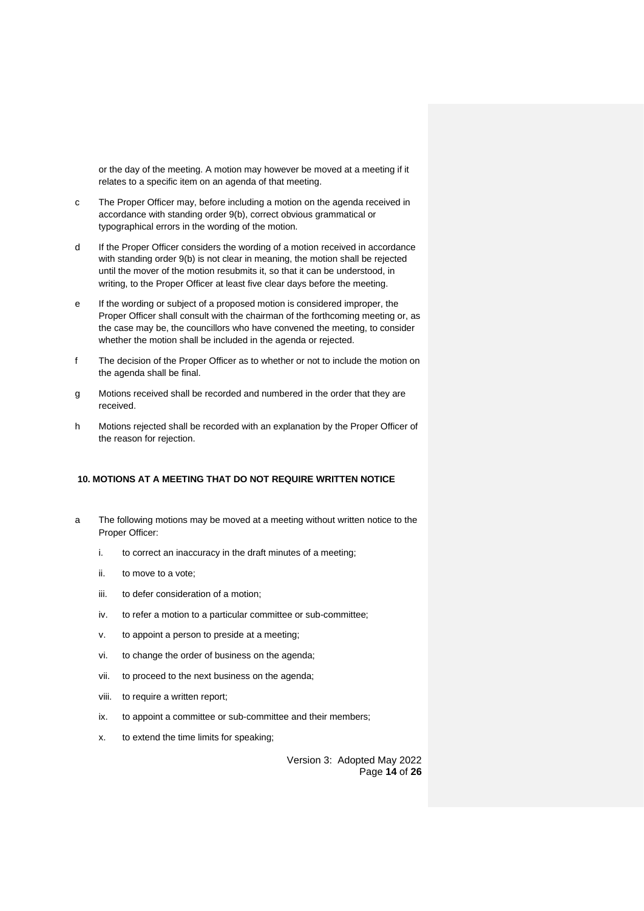or the day of the meeting. A motion may however be moved at a meeting if it relates to a specific item on an agenda of that meeting.

- c The Proper Officer may, before including a motion on the agenda received in accordance with standing order 9(b), correct obvious grammatical or typographical errors in the wording of the motion.
- d If the Proper Officer considers the wording of a motion received in accordance with standing order 9(b) is not clear in meaning, the motion shall be rejected until the mover of the motion resubmits it, so that it can be understood, in writing, to the Proper Officer at least five clear days before the meeting.
- e If the wording or subject of a proposed motion is considered improper, the Proper Officer shall consult with the chairman of the forthcoming meeting or, as the case may be, the councillors who have convened the meeting, to consider whether the motion shall be included in the agenda or rejected.
- f The decision of the Proper Officer as to whether or not to include the motion on the agenda shall be final.
- g Motions received shall be recorded and numbered in the order that they are received.
- h Motions rejected shall be recorded with an explanation by the Proper Officer of the reason for rejection.

# <span id="page-13-0"></span>**10. MOTIONS AT A MEETING THAT DO NOT REQUIRE WRITTEN NOTICE**

- a The following motions may be moved at a meeting without written notice to the Proper Officer:
	- i. to correct an inaccuracy in the draft minutes of a meeting;
	- ii. to move to a vote;
	- iii. to defer consideration of a motion;
	- iv. to refer a motion to a particular committee or sub-committee;
	- v. to appoint a person to preside at a meeting;
	- vi. to change the order of business on the agenda;
	- vii. to proceed to the next business on the agenda;
	- viii. to require a written report;
	- ix. to appoint a committee or sub-committee and their members;
	- x. to extend the time limits for speaking;

Version 3: Adopted May 2022 Page **14** of **26**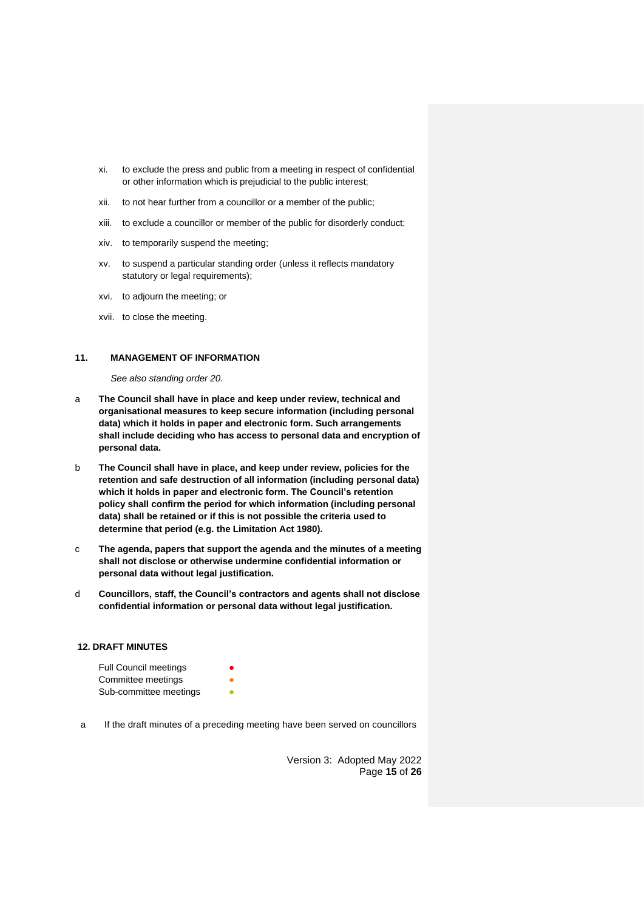- xi. to exclude the press and public from a meeting in respect of confidential or other information which is prejudicial to the public interest;
- xii. to not hear further from a councillor or a member of the public;
- xiii. to exclude a councillor or member of the public for disorderly conduct;
- xiv. to temporarily suspend the meeting;
- xv. to suspend a particular standing order (unless it reflects mandatory statutory or legal requirements);
- xvi. to adjourn the meeting; or
- xvii. to close the meeting.

#### <span id="page-14-0"></span>**11. MANAGEMENT OF INFORMATION**

*See also standing order 20.*

- a **The Council shall have in place and keep under review, technical and organisational measures to keep secure information (including personal data) which it holds in paper and electronic form. Such arrangements shall include deciding who has access to personal data and encryption of personal data.**
- b **The Council shall have in place, and keep under review, policies for the retention and safe destruction of all information (including personal data) which it holds in paper and electronic form. The Council's retention policy shall confirm the period for which information (including personal data) shall be retained or if this is not possible the criteria used to determine that period (e.g. the Limitation Act 1980).**
- c **The agenda, papers that support the agenda and the minutes of a meeting shall not disclose or otherwise undermine confidential information or personal data without legal justification.**
- d **Councillors, staff, the Council's contractors and agents shall not disclose confidential information or personal data without legal justification.**

## <span id="page-14-1"></span>**12. DRAFT MINUTES**

| <b>Full Council meetings</b> |   |
|------------------------------|---|
| Committee meetings           |   |
| Sub-committee meetings       | ● |

a If the draft minutes of a preceding meeting have been served on councillors

Version 3: Adopted May 2022 Page **15** of **26**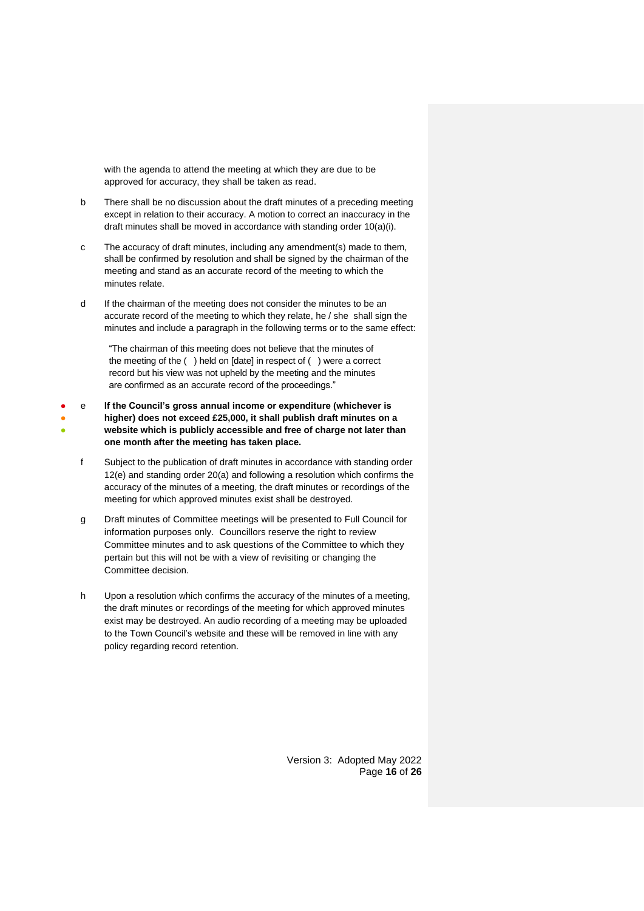with the agenda to attend the meeting at which they are due to be approved for accuracy, they shall be taken as read.

- b There shall be no discussion about the draft minutes of a preceding meeting except in relation to their accuracy. A motion to correct an inaccuracy in the draft minutes shall be moved in accordance with standing order 10(a)(i).
- c The accuracy of draft minutes, including any amendment(s) made to them, shall be confirmed by resolution and shall be signed by the chairman of the meeting and stand as an accurate record of the meeting to which the minutes relate.
- d If the chairman of the meeting does not consider the minutes to be an accurate record of the meeting to which they relate, he / she shall sign the minutes and include a paragraph in the following terms or to the same effect:

"The chairman of this meeting does not believe that the minutes of the meeting of the ( ) held on [date] in respect of ( ) were a correct record but his view was not upheld by the meeting and the minutes are confirmed as an accurate record of the proceedings."

- ● ● e **If the Council's gross annual income or expenditure (whichever is higher) does not exceed £25,000, it shall publish draft minutes on a website which is publicly accessible and free of charge not later than one month after the meeting has taken place.**
	- f Subject to the publication of draft minutes in accordance with standing order 12(e) and standing order 20(a) and following a resolution which confirms the accuracy of the minutes of a meeting, the draft minutes or recordings of the meeting for which approved minutes exist shall be destroyed.
	- g Draft minutes of Committee meetings will be presented to Full Council for information purposes only. Councillors reserve the right to review Committee minutes and to ask questions of the Committee to which they pertain but this will not be with a view of revisiting or changing the Committee decision.
	- h Upon a resolution which confirms the accuracy of the minutes of a meeting, the draft minutes or recordings of the meeting for which approved minutes exist may be destroyed. An audio recording of a meeting may be uploaded to the Town Council's website and these will be removed in line with any policy regarding record retention.

Version 3: Adopted May 2022 Page **16** of **26**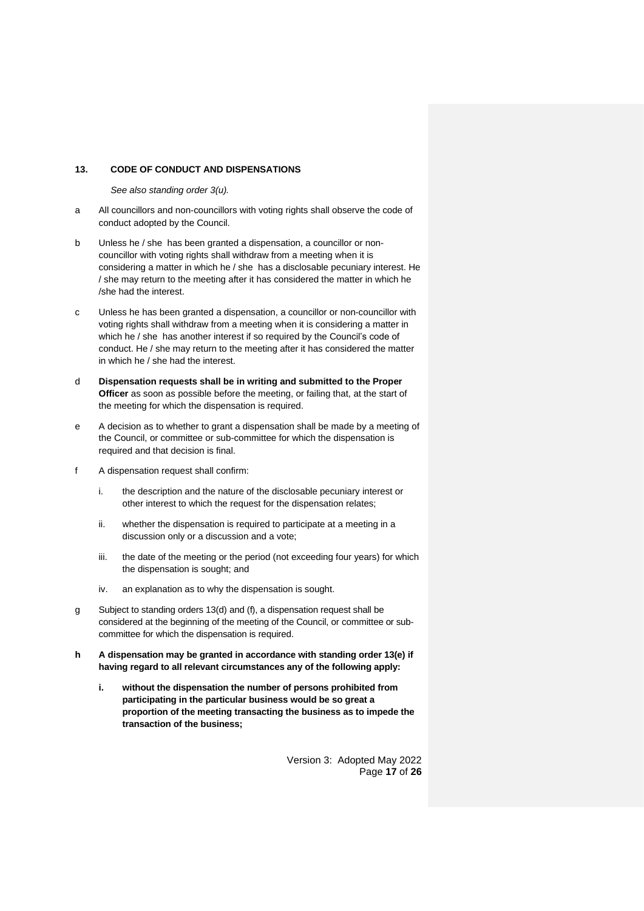#### <span id="page-16-0"></span>**13. CODE OF CONDUCT AND DISPENSATIONS**

*See also standing order 3(u).*

- a All councillors and non-councillors with voting rights shall observe the code of conduct adopted by the Council.
- b Unless he / she has been granted a dispensation, a councillor or noncouncillor with voting rights shall withdraw from a meeting when it is considering a matter in which he / she has a disclosable pecuniary interest. He / she may return to the meeting after it has considered the matter in which he /she had the interest.
- c Unless he has been granted a dispensation, a councillor or non-councillor with voting rights shall withdraw from a meeting when it is considering a matter in which he / she has another interest if so required by the Council's code of conduct. He / she may return to the meeting after it has considered the matter in which he / she had the interest.
- d **Dispensation requests shall be in writing and submitted to the Proper Officer** as soon as possible before the meeting, or failing that, at the start of the meeting for which the dispensation is required.
- e A decision as to whether to grant a dispensation shall be made by a meeting of the Council, or committee or sub-committee for which the dispensation is required and that decision is final.
- f A dispensation request shall confirm:
	- i. the description and the nature of the disclosable pecuniary interest or other interest to which the request for the dispensation relates;
	- ii. whether the dispensation is required to participate at a meeting in a discussion only or a discussion and a vote;
	- iii. the date of the meeting or the period (not exceeding four years) for which the dispensation is sought; and
	- iv. an explanation as to why the dispensation is sought.
- g Subject to standing orders 13(d) and (f), a dispensation request shall be considered at the beginning of the meeting of the Council, or committee or subcommittee for which the dispensation is required.
- **h A dispensation may be granted in accordance with standing order 13(e) if having regard to all relevant circumstances any of the following apply:**
	- **i. without the dispensation the number of persons prohibited from participating in the particular business would be so great a proportion of the meeting transacting the business as to impede the transaction of the business;**

Version 3: Adopted May 2022 Page **17** of **26**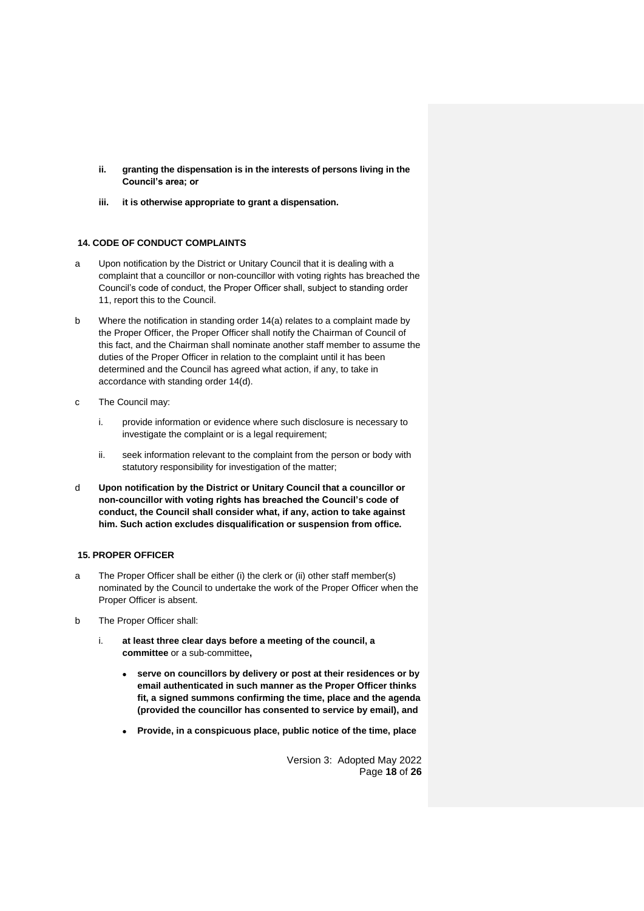- **ii. granting the dispensation is in the interests of persons living in the Council's area; or**
- **iii. it is otherwise appropriate to grant a dispensation.**

# <span id="page-17-0"></span>**14. CODE OF CONDUCT COMPLAINTS**

- a Upon notification by the District or Unitary Council that it is dealing with a complaint that a councillor or non-councillor with voting rights has breached the Council's code of conduct, the Proper Officer shall, subject to standing order 11, report this to the Council.
- b Where the notification in standing order 14(a) relates to a complaint made by the Proper Officer, the Proper Officer shall notify the Chairman of Council of this fact, and the Chairman shall nominate another staff member to assume the duties of the Proper Officer in relation to the complaint until it has been determined and the Council has agreed what action, if any, to take in accordance with standing order 14(d).
- c The Council may:
	- i. provide information or evidence where such disclosure is necessary to investigate the complaint or is a legal requirement;
	- ii. seek information relevant to the complaint from the person or body with statutory responsibility for investigation of the matter;
- d **Upon notification by the District or Unitary Council that a councillor or non-councillor with voting rights has breached the Council's code of conduct, the Council shall consider what, if any, action to take against him. Such action excludes disqualification or suspension from office.**

## <span id="page-17-1"></span>**15. PROPER OFFICER**

- a The Proper Officer shall be either (i) the clerk or (ii) other staff member(s) nominated by the Council to undertake the work of the Proper Officer when the Proper Officer is absent.
- b The Proper Officer shall:
	- i. **at least three clear days before a meeting of the council, a committee** or a sub-committee**,**
		- **serve on councillors by delivery or post at their residences or by email authenticated in such manner as the Proper Officer thinks fit, a signed summons confirming the time, place and the agenda (provided the councillor has consented to service by email), and**
		- **Provide, in a conspicuous place, public notice of the time, place**

Version 3: Adopted May 2022 Page **18** of **26**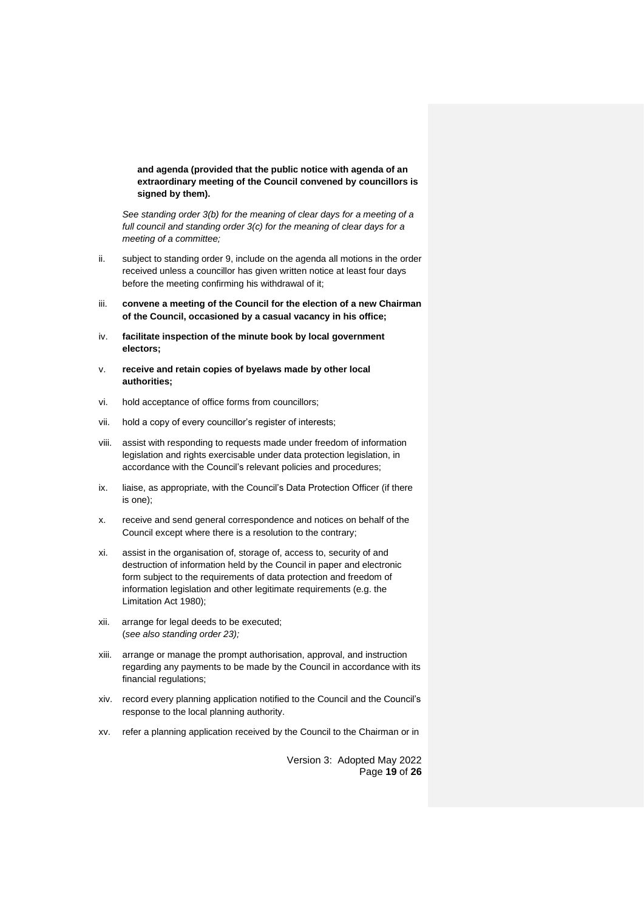**and agenda (provided that the public notice with agenda of an extraordinary meeting of the Council convened by councillors is signed by them).**

*See standing order 3(b) for the meaning of clear days for a meeting of a full council and standing order 3(c) for the meaning of clear days for a meeting of a committee;*

- ii. subject to standing order 9, include on the agenda all motions in the order received unless a councillor has given written notice at least four days before the meeting confirming his withdrawal of it;
- iii. **convene a meeting of the Council for the election of a new Chairman of the Council, occasioned by a casual vacancy in his office;**
- iv. **facilitate inspection of the minute book by local government electors;**
- v. **receive and retain copies of byelaws made by other local authorities;**
- vi. hold acceptance of office forms from councillors;
- vii. hold a copy of every councillor's register of interests;
- viii. assist with responding to requests made under freedom of information legislation and rights exercisable under data protection legislation, in accordance with the Council's relevant policies and procedures;
- ix. liaise, as appropriate, with the Council's Data Protection Officer (if there is one);
- x. receive and send general correspondence and notices on behalf of the Council except where there is a resolution to the contrary;
- xi. assist in the organisation of, storage of, access to, security of and destruction of information held by the Council in paper and electronic form subject to the requirements of data protection and freedom of information legislation and other legitimate requirements (e.g. the Limitation Act 1980);
- xii. arrange for legal deeds to be executed; (*see also standing order 23);*
- xiii. arrange or manage the prompt authorisation, approval, and instruction regarding any payments to be made by the Council in accordance with its financial regulations;
- xiv. record every planning application notified to the Council and the Council's response to the local planning authority.
- xv. refer a planning application received by the Council to the Chairman or in

Version 3: Adopted May 2022 Page **19** of **26**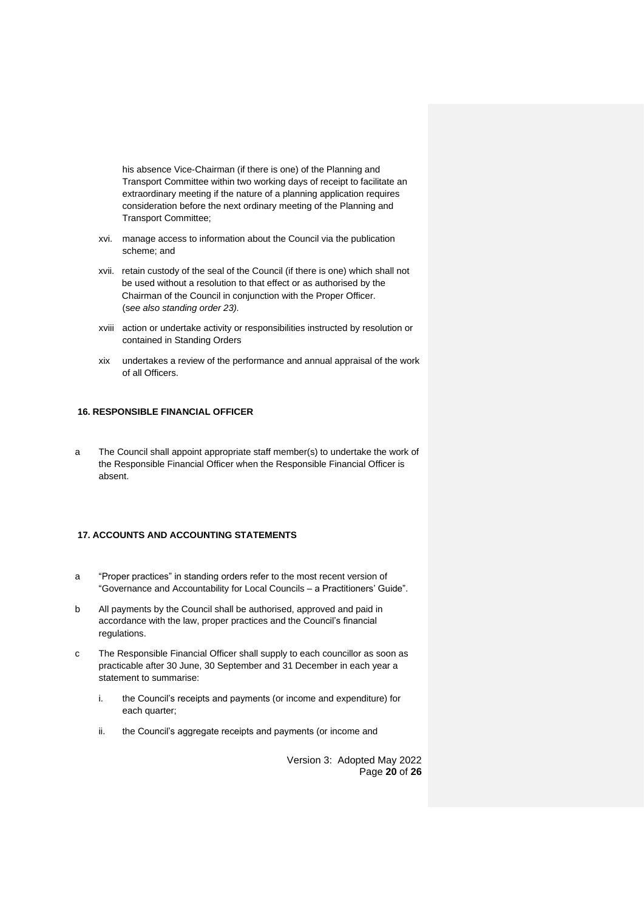his absence Vice-Chairman (if there is one) of the Planning and Transport Committee within two working days of receipt to facilitate an extraordinary meeting if the nature of a planning application requires consideration before the next ordinary meeting of the Planning and Transport Committee;

- xvi. manage access to information about the Council via the publication scheme; and
- xvii. retain custody of the seal of the Council (if there is one) which shall not be used without a resolution to that effect or as authorised by the Chairman of the Council in conjunction with the Proper Officer. (s*ee also standing order 23).*
- xviii action or undertake activity or responsibilities instructed by resolution or contained in Standing Orders
- xix undertakes a review of the performance and annual appraisal of the work of all Officers.

# <span id="page-19-0"></span>**16. RESPONSIBLE FINANCIAL OFFICER**

a The Council shall appoint appropriate staff member(s) to undertake the work of the Responsible Financial Officer when the Responsible Financial Officer is absent.

## <span id="page-19-1"></span>**17. ACCOUNTS AND ACCOUNTING STATEMENTS**

- a "Proper practices" in standing orders refer to the most recent version of "Governance and Accountability for Local Councils – a Practitioners' Guide".
- b All payments by the Council shall be authorised, approved and paid in accordance with the law, proper practices and the Council's financial regulations.
- c The Responsible Financial Officer shall supply to each councillor as soon as practicable after 30 June, 30 September and 31 December in each year a statement to summarise:
	- i. the Council's receipts and payments (or income and expenditure) for each quarter;
	- ii. the Council's aggregate receipts and payments (or income and

Version 3: Adopted May 2022 Page **20** of **26**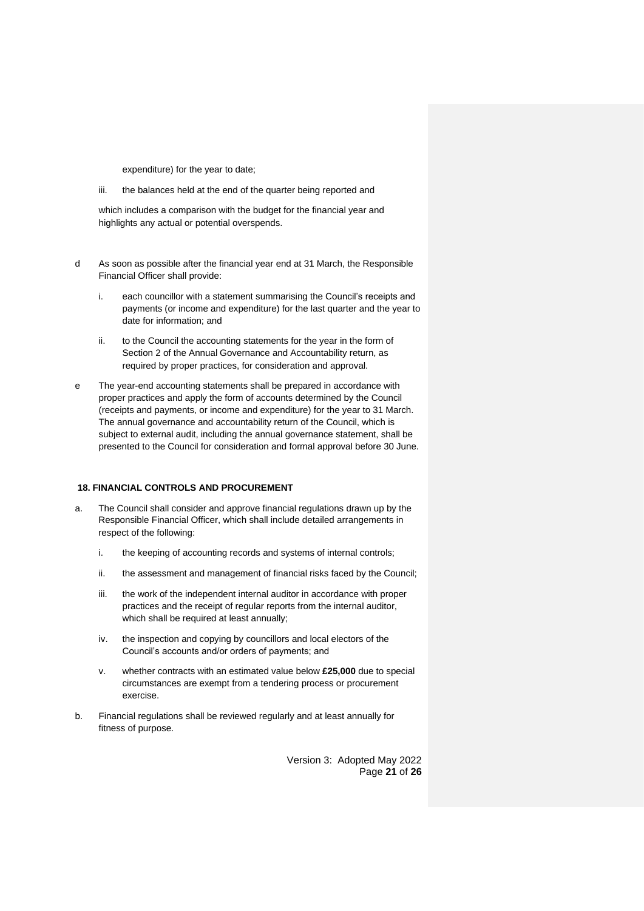expenditure) for the year to date;

iii. the balances held at the end of the quarter being reported and

which includes a comparison with the budget for the financial year and highlights any actual or potential overspends.

- d As soon as possible after the financial year end at 31 March, the Responsible Financial Officer shall provide:
	- i. each councillor with a statement summarising the Council's receipts and payments (or income and expenditure) for the last quarter and the year to date for information; and
	- ii. to the Council the accounting statements for the year in the form of Section 2 of the Annual Governance and Accountability return, as required by proper practices, for consideration and approval.
- e The year-end accounting statements shall be prepared in accordance with proper practices and apply the form of accounts determined by the Council (receipts and payments, or income and expenditure) for the year to 31 March. The annual governance and accountability return of the Council, which is subject to external audit, including the annual governance statement, shall be presented to the Council for consideration and formal approval before 30 June.

# <span id="page-20-0"></span>**18. FINANCIAL CONTROLS AND PROCUREMENT**

- a. The Council shall consider and approve financial regulations drawn up by the Responsible Financial Officer, which shall include detailed arrangements in respect of the following:
	- i. the keeping of accounting records and systems of internal controls;
	- ii. the assessment and management of financial risks faced by the Council;
	- iii. the work of the independent internal auditor in accordance with proper practices and the receipt of regular reports from the internal auditor, which shall be required at least annually;
	- iv. the inspection and copying by councillors and local electors of the Council's accounts and/or orders of payments; and
	- v. whether contracts with an estimated value below **£25,000** due to special circumstances are exempt from a tendering process or procurement exercise.
- b. Financial regulations shall be reviewed regularly and at least annually for fitness of purpose.

Version 3: Adopted May 2022 Page **21** of **26**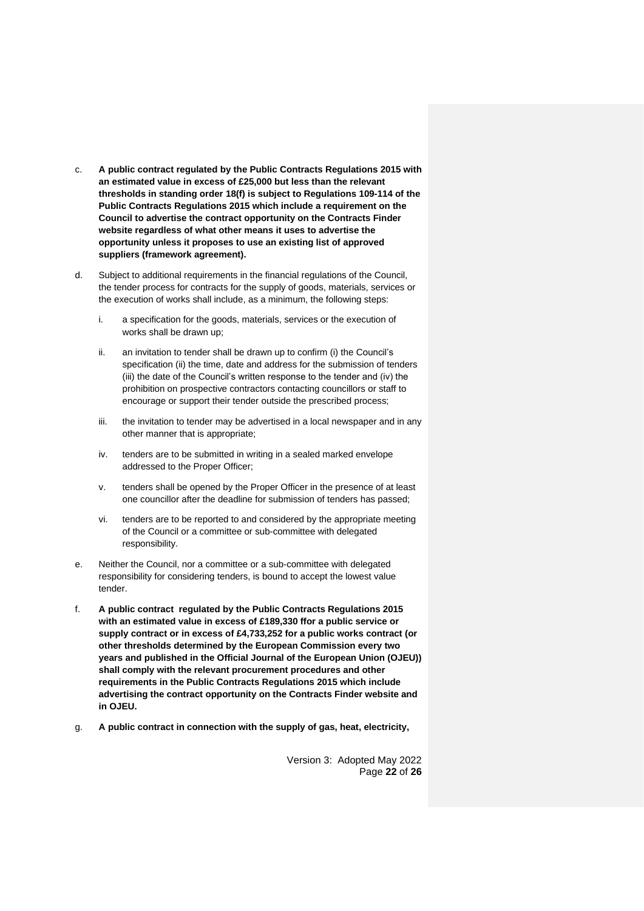- c. **A public contract regulated by the Public Contracts Regulations 2015 with an estimated value in excess of £25,000 but less than the relevant thresholds in standing order 18(f) is subject to Regulations 109-114 of the Public Contracts Regulations 2015 which include a requirement on the Council to advertise the contract opportunity on the Contracts Finder website regardless of what other means it uses to advertise the opportunity unless it proposes to use an existing list of approved suppliers (framework agreement).**
- d. Subject to additional requirements in the financial regulations of the Council, the tender process for contracts for the supply of goods, materials, services or the execution of works shall include, as a minimum, the following steps:
	- i. a specification for the goods, materials, services or the execution of works shall be drawn up;
	- ii. an invitation to tender shall be drawn up to confirm (i) the Council's specification (ii) the time, date and address for the submission of tenders (iii) the date of the Council's written response to the tender and (iv) the prohibition on prospective contractors contacting councillors or staff to encourage or support their tender outside the prescribed process;
	- iii. the invitation to tender may be advertised in a local newspaper and in any other manner that is appropriate;
	- iv. tenders are to be submitted in writing in a sealed marked envelope addressed to the Proper Officer;
	- v. tenders shall be opened by the Proper Officer in the presence of at least one councillor after the deadline for submission of tenders has passed;
	- vi. tenders are to be reported to and considered by the appropriate meeting of the Council or a committee or sub-committee with delegated responsibility.
- e. Neither the Council, nor a committee or a sub-committee with delegated responsibility for considering tenders, is bound to accept the lowest value tender.
- f. **A public contract regulated by the Public Contracts Regulations 2015 with an estimated value in excess of £189,330 ffor a public service or supply contract or in excess of £4,733,252 for a public works contract (or other thresholds determined by the European Commission every two years and published in the Official Journal of the European Union (OJEU)) shall comply with the relevant procurement procedures and other requirements in the Public Contracts Regulations 2015 which include advertising the contract opportunity on the Contracts Finder website and in OJEU.**
- g. **A public contract in connection with the supply of gas, heat, electricity,**

Version 3: Adopted May 2022 Page **22** of **26**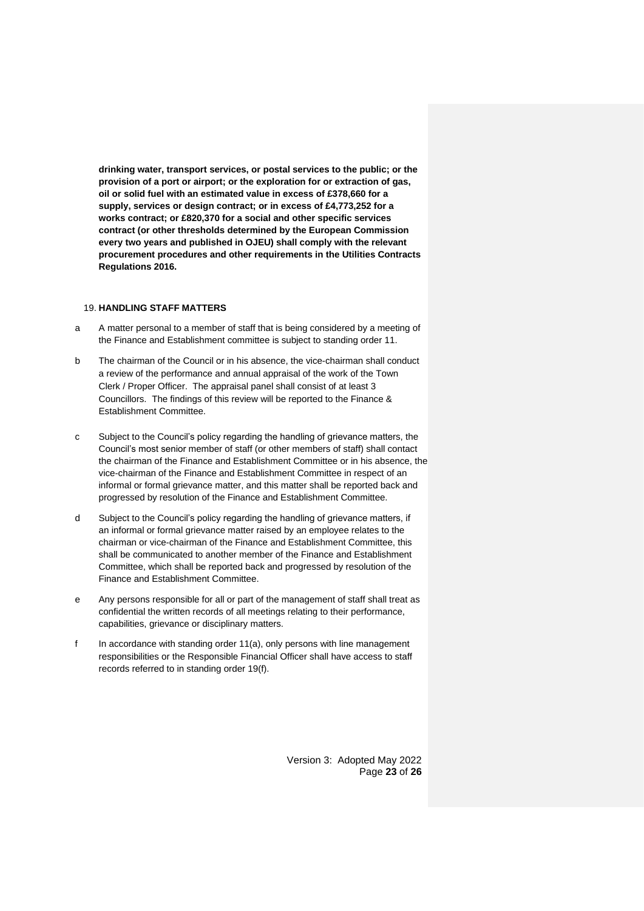**drinking water, transport services, or postal services to the public; or the provision of a port or airport; or the exploration for or extraction of gas, oil or solid fuel with an estimated value in excess of £378,660 for a supply, services or design contract; or in excess of £4,773,252 for a works contract; or £820,370 for a social and other specific services contract (or other thresholds determined by the European Commission every two years and published in OJEU) shall comply with the relevant procurement procedures and other requirements in the Utilities Contracts Regulations 2016.**

# <span id="page-22-0"></span>19. **HANDLING STAFF MATTERS**

- a A matter personal to a member of staff that is being considered by a meeting of the Finance and Establishment committee is subject to standing order 11.
- b The chairman of the Council or in his absence, the vice-chairman shall conduct a review of the performance and annual appraisal of the work of the Town Clerk / Proper Officer. The appraisal panel shall consist of at least 3 Councillors. The findings of this review will be reported to the Finance & Establishment Committee.
- c Subject to the Council's policy regarding the handling of grievance matters, the Council's most senior member of staff (or other members of staff) shall contact the chairman of the Finance and Establishment Committee or in his absence, the vice-chairman of the Finance and Establishment Committee in respect of an informal or formal grievance matter, and this matter shall be reported back and progressed by resolution of the Finance and Establishment Committee.
- d Subject to the Council's policy regarding the handling of grievance matters, if an informal or formal grievance matter raised by an employee relates to the chairman or vice-chairman of the Finance and Establishment Committee, this shall be communicated to another member of the Finance and Establishment Committee, which shall be reported back and progressed by resolution of the Finance and Establishment Committee.
- e Any persons responsible for all or part of the management of staff shall treat as confidential the written records of all meetings relating to their performance, capabilities, grievance or disciplinary matters.
- f In accordance with standing order 11(a), only persons with line management responsibilities or the Responsible Financial Officer shall have access to staff records referred to in standing order 19(f).

Version 3: Adopted May 2022 Page **23** of **26**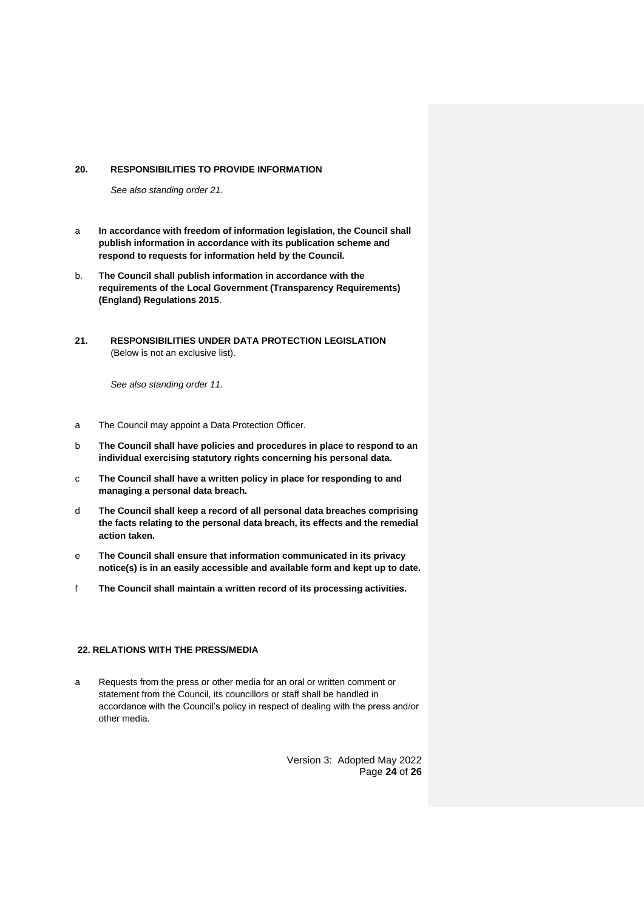#### <span id="page-23-0"></span>**20. RESPONSIBILITIES TO PROVIDE INFORMATION**

*See also standing order 21.*

- a **In accordance with freedom of information legislation, the Council shall publish information in accordance with its publication scheme and respond to requests for information held by the Council.**
- b. **The Council shall publish information in accordance with the requirements of the Local Government (Transparency Requirements) (England) Regulations 2015**.
- <span id="page-23-1"></span>**21. RESPONSIBILITIES UNDER DATA PROTECTION LEGISLATION**  (Below is not an exclusive list).

*See also standing order 11.*

- a The Council may appoint a Data Protection Officer.
- b **The Council shall have policies and procedures in place to respond to an individual exercising statutory rights concerning his personal data.**
- c **The Council shall have a written policy in place for responding to and managing a personal data breach.**
- d **The Council shall keep a record of all personal data breaches comprising the facts relating to the personal data breach, its effects and the remedial action taken.**
- e **The Council shall ensure that information communicated in its privacy notice(s) is in an easily accessible and available form and kept up to date.**
- f **The Council shall maintain a written record of its processing activities.**

#### <span id="page-23-2"></span>**22. RELATIONS WITH THE PRESS/MEDIA**

a Requests from the press or other media for an oral or written comment or statement from the Council, its councillors or staff shall be handled in accordance with the Council's policy in respect of dealing with the press and/or other media.

> Version 3: Adopted May 2022 Page **24** of **26**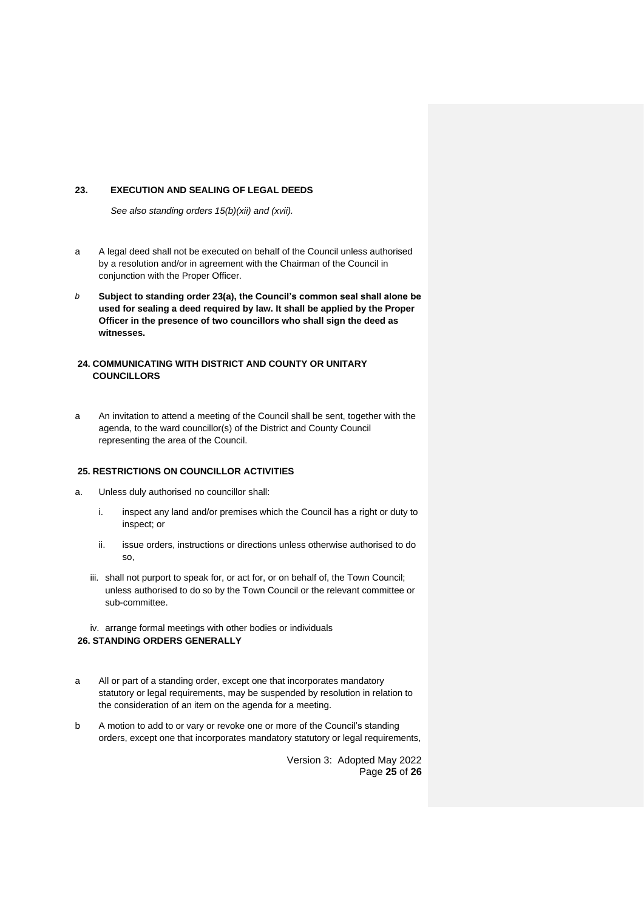# <span id="page-24-0"></span>**23. EXECUTION AND SEALING OF LEGAL DEEDS**

*See also standing orders 15(b)(xii) and (xvii).*

- a A legal deed shall not be executed on behalf of the Council unless authorised by a resolution and/or in agreement with the Chairman of the Council in conjunction with the Proper Officer.
- *b* **Subject to standing order 23(a), the Council's common seal shall alone be used for sealing a deed required by law. It shall be applied by the Proper Officer in the presence of two councillors who shall sign the deed as witnesses.**

# <span id="page-24-1"></span>**24. COMMUNICATING WITH DISTRICT AND COUNTY OR UNITARY COUNCILLORS**

a An invitation to attend a meeting of the Council shall be sent, together with the agenda, to the ward councillor(s) of the District and County Council representing the area of the Council.

# <span id="page-24-2"></span>**25. RESTRICTIONS ON COUNCILLOR ACTIVITIES**

- a. Unless duly authorised no councillor shall:
	- i. inspect any land and/or premises which the Council has a right or duty to inspect; or
	- ii. issue orders, instructions or directions unless otherwise authorised to do so,
	- iii. shall not purport to speak for, or act for, or on behalf of, the Town Council; unless authorised to do so by the Town Council or the relevant committee or sub-committee.
- <span id="page-24-3"></span>iv. arrange formal meetings with other bodies or individuals **26. STANDING ORDERS GENERALLY**
- a All or part of a standing order, except one that incorporates mandatory statutory or legal requirements, may be suspended by resolution in relation to the consideration of an item on the agenda for a meeting.
- b A motion to add to or vary or revoke one or more of the Council's standing orders, except one that incorporates mandatory statutory or legal requirements,

Version 3: Adopted May 2022 Page **25** of **26**